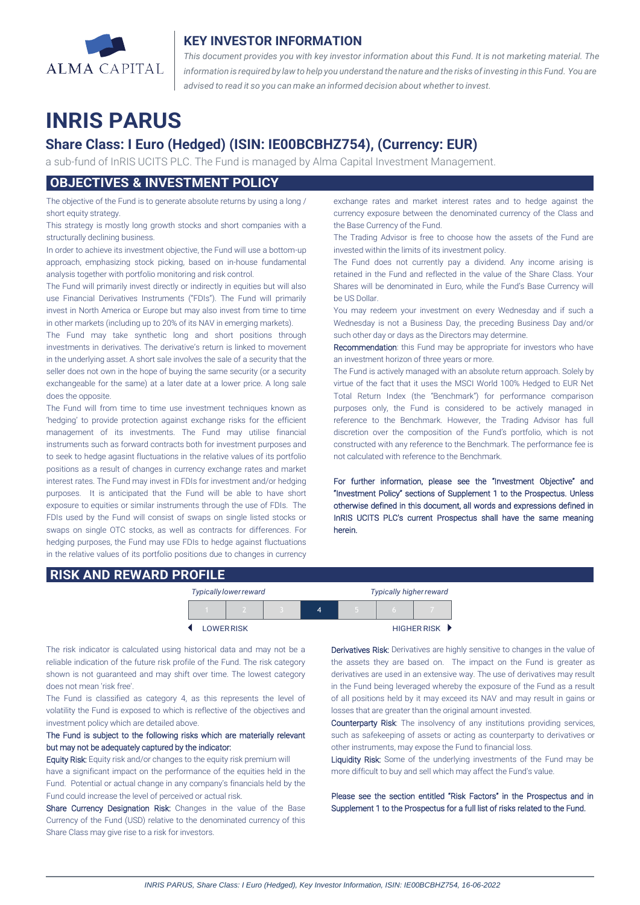

## **KEY INVESTOR INFORMATION**

*This document provides you with key investor information about this Fund. It is not marketing material. The* information is required by law to help you understand the nature and the risks of investing in this Fund. You are *advised to read it so you can make an informed decision about whether to invest.*

# **INRIS PARUS**

## **Share Class: I Euro (Hedged) (ISIN: IE00BCBHZ754), (Currency: EUR)**

a sub-fund of InRIS UCITS PLC. The Fund is managed by Alma Capital Investment Management.

## **OBJECTIVES & INVESTMENT POLICY**

The objective of the Fund is to generate absolute returns by using a long / short equity strategy.

This strategy is mostly long growth stocks and short companies with a structurally declining business.

In order to achieve its investment objective, the Fund will use a bottom-up approach, emphasizing stock picking, based on in-house fundamental analysis together with portfolio monitoring and risk control.

The Fund will primarily invest directly or indirectly in equities but will also use Financial Derivatives Instruments ("FDIs"). The Fund will primarily invest in North America or Europe but may also invest from time to time in other markets (including up to 20% of its NAV in emerging markets).

The Fund may take synthetic long and short positions through investments in derivatives. The derivative's return is linked to movement in the underlying asset. A short sale involves the sale of a security that the seller does not own in the hope of buying the same security (or a security exchangeable for the same) at a later date at a lower price. A long sale does the opposite.

The Fund will from time to time use investment techniques known as 'hedging' to provide protection against exchange risks for the efficient management of its investments. The Fund may utilise financial instruments such as forward contracts both for investment purposes and to seek to hedge agasint fluctuations in the relative values of its portfolio positions as a result of changes in currency exchange rates and market interest rates. The Fund may invest in FDIs for investment and/or hedging purposes. It is anticipated that the Fund will be able to have short exposure to equities or similar instruments through the use of FDIs. The FDIs used by the Fund will consist of swaps on single listed stocks or swaps on single OTC stocks, as well as contracts for differences. For hedging purposes, the Fund may use FDIs to hedge against fluctuations in the relative values of its portfolio positions due to changes in currency exchange rates and market interest rates and to hedge against the currency exposure between the denominated currency of the Class and the Base Currency of the Fund.

The Trading Advisor is free to choose how the assets of the Fund are invested within the limits of its investment policy.

The Fund does not currently pay a dividend. Any income arising is retained in the Fund and reflected in the value of the Share Class. Your Shares will be denominated in Euro, while the Fund's Base Currency will be US Dollar.

You may redeem your investment on every Wednesday and if such a Wednesday is not a Business Day, the preceding Business Day and/or such other day or days as the Directors may determine.

Recommendation: this Fund may be appropriate for investors who have an investment horizon of three years or more.

The Fund is actively managed with an absolute return approach. Solely by virtue of the fact that it uses the MSCI World 100% Hedged to EUR Net Total Return Index (the "Benchmark") for performance comparison purposes only, the Fund is considered to be actively managed in reference to the Benchmark. However, the Trading Advisor has full discretion over the composition of the Fund's portfolio, which is not constructed with any reference to the Benchmark. The performance fee is not calculated with reference to the Benchmark.

For further information, please see the "Investment Objective" and "Investment Policy" sections of Supplement 1 to the Prospectus. Unless otherwise defined in this document, all words and expressions defined in InRIS UCITS PLC's current Prospectus shall have the same meaning herein.

## **RISK AND REWARD PROFILE**

| <b>Typically lower reward</b> |  | <b>Typically higher reward</b> |  |  |               |
|-------------------------------|--|--------------------------------|--|--|---------------|
|                               |  | 4                              |  |  |               |
| <b>LOWER RISK</b>             |  |                                |  |  | HIGHER RISK D |

The risk indicator is calculated using historical data and may not be a reliable indication of the future risk profile of the Fund. The risk category shown is not guaranteed and may shift over time. The lowest category does not mean 'risk free'.

The Fund is classified as category 4, as this represents the level of volatility the Fund is exposed to which is reflective of the objectives and investment policy which are detailed above.

### The Fund is subject to the following risks which are materially relevant but may not be adequately captured by the indicator:

Equity Risk: Equity risk and/or changes to the equity risk premium will have a significant impact on the performance of the equities held in the Fund. Potential or actual change in any company's financials held by the Fund could increase the level of perceived or actual risk.

Share Currency Designation Risk: Changes in the value of the Base Currency of the Fund (USD) relative to the denominated currency of this Share Class may give rise to a risk for investors.

Derivatives Risk: Derivatives are highly sensitive to changes in the value of the assets they are based on. The impact on the Fund is greater as derivatives are used in an extensive way. The use of derivatives may result in the Fund being leveraged whereby the exposure of the Fund as a result of all positions held by it may exceed its NAV and may result in gains or losses that are greater than the original amount invested.

Counterparty Risk: The insolvency of any institutions providing services, such as safekeeping of assets or acting as counterparty to derivatives or other instruments, may expose the Fund to financial loss.

Liquidity Risk: Some of the underlying investments of the Fund may be more difficult to buy and sell which may affect the Fund's value.

Please see the section entitled "Risk Factors" in the Prospectus and in Supplement 1 to the Prospectus for a full list of risks related to the Fund.